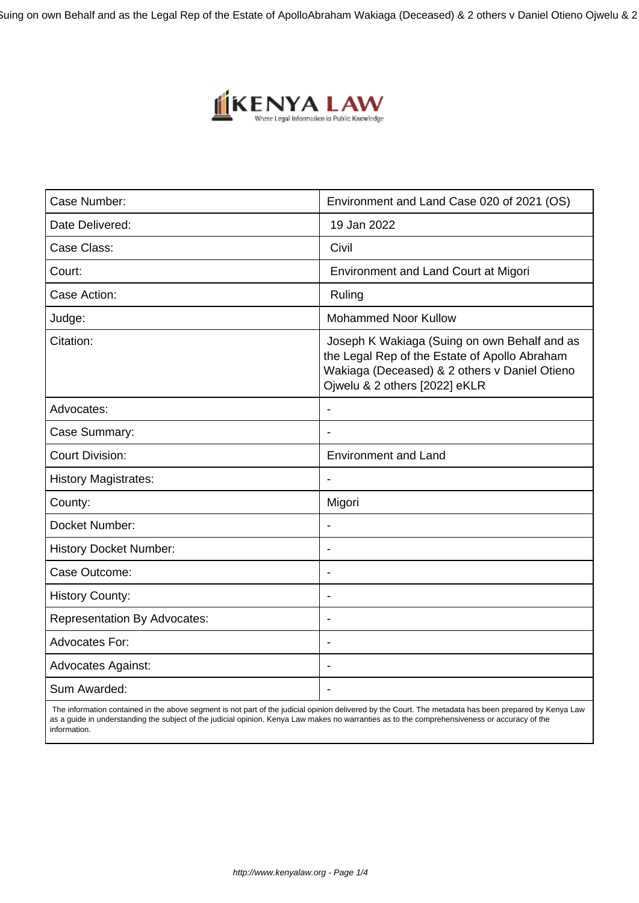Suing on own Behalf and as the Legal Rep of the Estate of Apollo Abraham Wakiaga (Deceased) & 2 others v Daniel Otieno Ojwelu & 2



| Case Number:                        | Environment and Land Case 020 of 2021 (OS)                                                                                                                                      |
|-------------------------------------|---------------------------------------------------------------------------------------------------------------------------------------------------------------------------------|
| Date Delivered:                     | 19 Jan 2022                                                                                                                                                                     |
| Case Class:                         | Civil                                                                                                                                                                           |
| Court:                              | Environment and Land Court at Migori                                                                                                                                            |
| Case Action:                        | Ruling                                                                                                                                                                          |
| Judge:                              | <b>Mohammed Noor Kullow</b>                                                                                                                                                     |
| Citation:                           | Joseph K Wakiaga (Suing on own Behalf and as<br>the Legal Rep of the Estate of Apollo Abraham<br>Wakiaga (Deceased) & 2 others v Daniel Otieno<br>Ojwelu & 2 others [2022] eKLR |
| Advocates:                          | $\overline{a}$                                                                                                                                                                  |
| Case Summary:                       |                                                                                                                                                                                 |
| <b>Court Division:</b>              | <b>Environment and Land</b>                                                                                                                                                     |
| <b>History Magistrates:</b>         | $\overline{\phantom{a}}$                                                                                                                                                        |
| County:                             | Migori                                                                                                                                                                          |
| Docket Number:                      |                                                                                                                                                                                 |
| <b>History Docket Number:</b>       | $\blacksquare$                                                                                                                                                                  |
| Case Outcome:                       |                                                                                                                                                                                 |
| <b>History County:</b>              | $\overline{a}$                                                                                                                                                                  |
| <b>Representation By Advocates:</b> | $\overline{\phantom{a}}$                                                                                                                                                        |
| <b>Advocates For:</b>               | $\blacksquare$                                                                                                                                                                  |
| <b>Advocates Against:</b>           | $\overline{\phantom{a}}$                                                                                                                                                        |
| Sum Awarded:                        |                                                                                                                                                                                 |

 The information contained in the above segment is not part of the judicial opinion delivered by the Court. The metadata has been prepared by Kenya Law as a guide in understanding the subject of the judicial opinion. Kenya Law makes no warranties as to the comprehensiveness or accuracy of the information.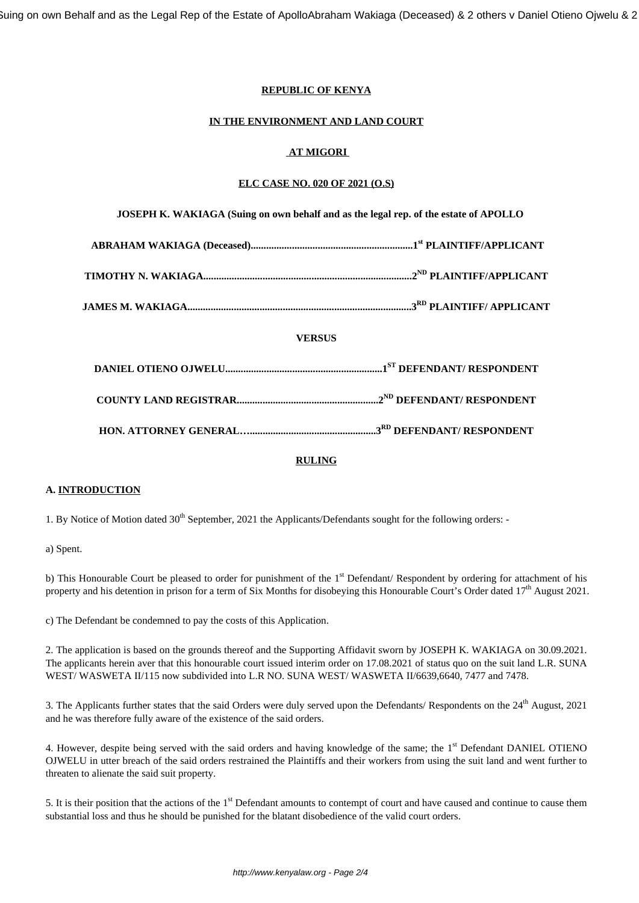## **REPUBLIC OF KENYA**

#### **IN THE ENVIRONMENT AND LAND COURT**

# **AT MIGORI**

## **ELC CASE NO. 020 OF 2021 (O.S)**

| JOSEPH K. WAKIAGA (Suing on own behalf and as the legal rep. of the estate of APOLLO |  |
|--------------------------------------------------------------------------------------|--|
|                                                                                      |  |
|                                                                                      |  |
|                                                                                      |  |
| <b>VERSUS</b>                                                                        |  |
|                                                                                      |  |
|                                                                                      |  |
|                                                                                      |  |

#### **RULING**

#### **A. INTRODUCTION**

1. By Notice of Motion dated 30<sup>th</sup> September, 2021 the Applicants/Defendants sought for the following orders: -

a) Spent.

b) This Honourable Court be pleased to order for punishment of the 1<sup>st</sup> Defendant/ Respondent by ordering for attachment of his property and his detention in prison for a term of Six Months for disobeying this Honourable Court's Order dated 17<sup>th</sup> August 2021.

c) The Defendant be condemned to pay the costs of this Application.

2. The application is based on the grounds thereof and the Supporting Affidavit sworn by JOSEPH K. WAKIAGA on 30.09.2021. The applicants herein aver that this honourable court issued interim order on 17.08.2021 of status quo on the suit land L.R. SUNA WEST/ WASWETA II/115 now subdivided into L.R NO. SUNA WEST/ WASWETA II/6639,6640, 7477 and 7478.

3. The Applicants further states that the said Orders were duly served upon the Defendants/ Respondents on the 24<sup>th</sup> August, 2021 and he was therefore fully aware of the existence of the said orders.

4. However, despite being served with the said orders and having knowledge of the same; the 1<sup>st</sup> Defendant DANIEL OTIENO OJWELU in utter breach of the said orders restrained the Plaintiffs and their workers from using the suit land and went further to threaten to alienate the said suit property.

5. It is their position that the actions of the 1<sup>st</sup> Defendant amounts to contempt of court and have caused and continue to cause them substantial loss and thus he should be punished for the blatant disobedience of the valid court orders.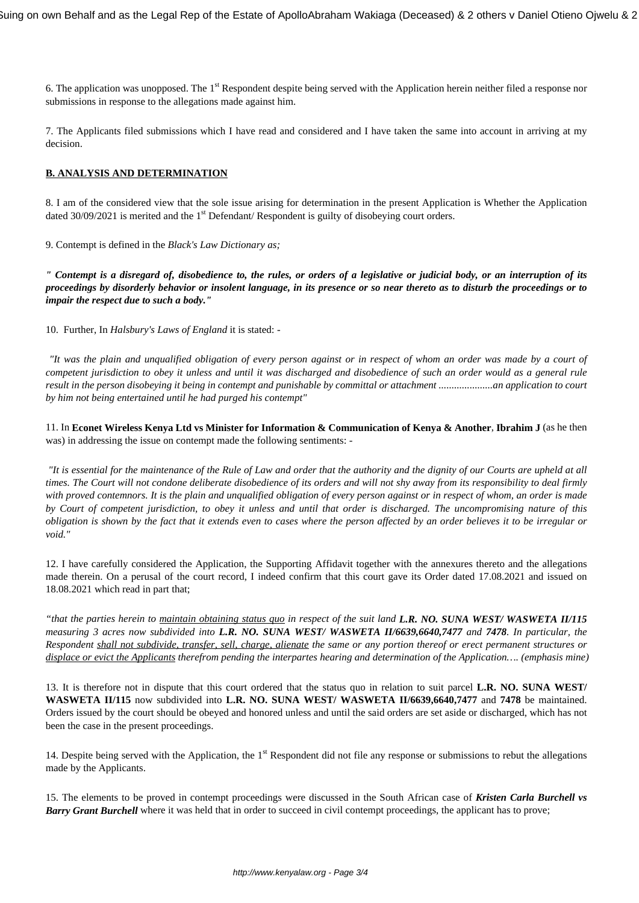6. The application was unopposed. The 1<sup>st</sup> Respondent despite being served with the Application herein neither filed a response nor submissions in response to the allegations made against him.

7. The Applicants filed submissions which I have read and considered and I have taken the same into account in arriving at my decision.

## **B. ANALYSIS AND DETERMINATION**

8. I am of the considered view that the sole issue arising for determination in the present Application is Whether the Application dated 30/09/2021 is merited and the 1<sup>st</sup> Defendant/ Respondent is guilty of disobeying court orders.

9. Contempt is defined in the *Black's Law Dictionary as;*

*" Contempt is a disregard of, disobedience to, the rules, or orders of a legislative or judicial body, or an interruption of its proceedings by disorderly behavior or insolent language, in its presence or so near thereto as to disturb the proceedings or to impair the respect due to such a body."*

10. Further, In *Halsbury's Laws of England* it is stated: -

*"It was the plain and unqualified obligation of every person against or in respect of whom an order was made by a court of competent jurisdiction to obey it unless and until it was discharged and disobedience of such an order would as a general rule result in the person disobeying it being in contempt and punishable by committal or attachment .....................an application to court by him not being entertained until he had purged his contempt"*

11. In **Econet Wireless Kenya Ltd vs Minister for Information & Communication of Kenya & Another**, **Ibrahim J** (as he then was) in addressing the issue on contempt made the following sentiments: -

*"It is essential for the maintenance of the Rule of Law and order that the authority and the dignity of our Courts are upheld at all times. The Court will not condone deliberate disobedience of its orders and will not shy away from its responsibility to deal firmly with proved contemnors. It is the plain and unqualified obligation of every person against or in respect of whom, an order is made by Court of competent jurisdiction, to obey it unless and until that order is discharged. The uncompromising nature of this obligation is shown by the fact that it extends even to cases where the person affected by an order believes it to be irregular or void."*

12. I have carefully considered the Application, the Supporting Affidavit together with the annexures thereto and the allegations made therein. On a perusal of the court record, I indeed confirm that this court gave its Order dated 17.08.2021 and issued on 18.08.2021 which read in part that;

*"that the parties herein to maintain obtaining status quo in respect of the suit land L.R. NO. SUNA WEST/ WASWETA II/115 measuring 3 acres now subdivided into L.R. NO. SUNA WEST/ WASWETA II/6639,6640,7477 and 7478. In particular, the Respondent shall not subdivide, transfer, sell, charge, alienate the same or any portion thereof or erect permanent structures or displace or evict the Applicants therefrom pending the interpartes hearing and determination of the Application…. (emphasis mine)*

13. It is therefore not in dispute that this court ordered that the status quo in relation to suit parcel **L.R. NO. SUNA WEST/ WASWETA II/115** now subdivided into **L.R. NO. SUNA WEST/ WASWETA II/6639,6640,7477** and **7478** be maintained. Orders issued by the court should be obeyed and honored unless and until the said orders are set aside or discharged, which has not been the case in the present proceedings.

14. Despite being served with the Application, the  $1<sup>st</sup>$  Respondent did not file any response or submissions to rebut the allegations made by the Applicants.

15. The elements to be proved in contempt proceedings were discussed in the South African case of *Kristen Carla Burchell vs Barry Grant Burchell* where it was held that in order to succeed in civil contempt proceedings, the applicant has to prove;